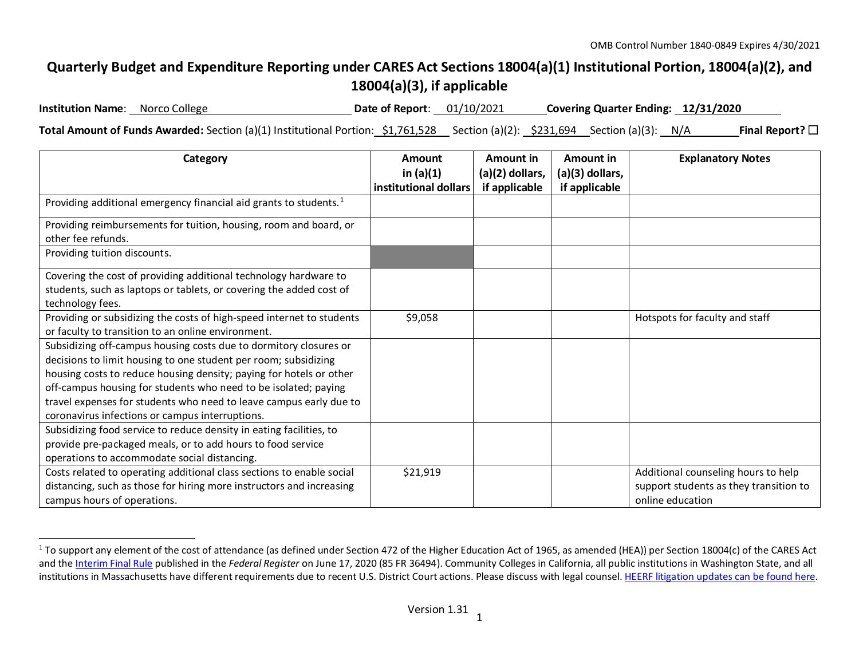## <span id="page-0-0"></span>**Quarterly Budget and Expenditure Reporting under CARES Act Sections 18004(a)(1) Institutional Portion, 18004(a)(2), and 18004(a)(3), if applicable**

**Institution Name**: Norco College **Date of Report**: 01/10/2021 **Covering Quarter Ending: 12/31/2020**

**Total Amount of Funds Awarded:** Section (a)(1) Institutional Portion: \$1,761,528 Section (a)(2): \$231,694 Section (a)(3): N/A **Final Report?**☐

| Category                                                                                | Amount<br>in $(a)(1)$ | Amount in<br>(a)(2) dollars, | Amount in<br>(a)(3) dollars, | <b>Explanatory Notes</b>               |
|-----------------------------------------------------------------------------------------|-----------------------|------------------------------|------------------------------|----------------------------------------|
|                                                                                         | institutional dollars | if applicable                | if applicable                |                                        |
| Providing additional emergency financial aid grants to students. <sup>1</sup>           |                       |                              |                              |                                        |
| Providing reimbursements for tuition, housing, room and board, or<br>other fee refunds. |                       |                              |                              |                                        |
| Providing tuition discounts.                                                            |                       |                              |                              |                                        |
| Covering the cost of providing additional technology hardware to                        |                       |                              |                              |                                        |
| students, such as laptops or tablets, or covering the added cost of                     |                       |                              |                              |                                        |
| technology fees.                                                                        |                       |                              |                              |                                        |
| Providing or subsidizing the costs of high-speed internet to students                   | \$9,058               |                              |                              | Hotspots for faculty and staff         |
| or faculty to transition to an online environment.                                      |                       |                              |                              |                                        |
| Subsidizing off-campus housing costs due to dormitory closures or                       |                       |                              |                              |                                        |
| decisions to limit housing to one student per room; subsidizing                         |                       |                              |                              |                                        |
| housing costs to reduce housing density; paying for hotels or other                     |                       |                              |                              |                                        |
| off-campus housing for students who need to be isolated; paying                         |                       |                              |                              |                                        |
| travel expenses for students who need to leave campus early due to                      |                       |                              |                              |                                        |
| coronavirus infections or campus interruptions.                                         |                       |                              |                              |                                        |
| Subsidizing food service to reduce density in eating facilities, to                     |                       |                              |                              |                                        |
| provide pre-packaged meals, or to add hours to food service                             |                       |                              |                              |                                        |
| operations to accommodate social distancing.                                            |                       |                              |                              |                                        |
| Costs related to operating additional class sections to enable social                   | \$21,919              |                              |                              | Additional counseling hours to help    |
| distancing, such as those for hiring more instructors and increasing                    |                       |                              |                              | support students as they transition to |
| campus hours of operations.                                                             |                       |                              |                              | online education                       |

<sup>&</sup>lt;sup>1</sup> To support any element of the cost of attendance (as defined under Section 472 of the Higher Education Act of 1965, as amended (HEA)) per Section 18004(c) of the CARES Act and th[e Interim Final Rule](https://www.federalregister.gov/documents/2020/06/17/2020-12965/eligibility-of-students-at-institutions-of-higher-education-for-funds-under-the-coronavirus-aid) published in the *Federal Register* on June 17, 2020 (85 FR 36494). Community Colleges in California, all public institutions in Washington State, and all institutions in Massachusetts have different requirements due to recent U.S. District Court actions. Please discuss with legal counsel. [HEERF litigation updates can be found here.](https://www2.ed.gov/about/offices/list/ope/heerfupdates.html)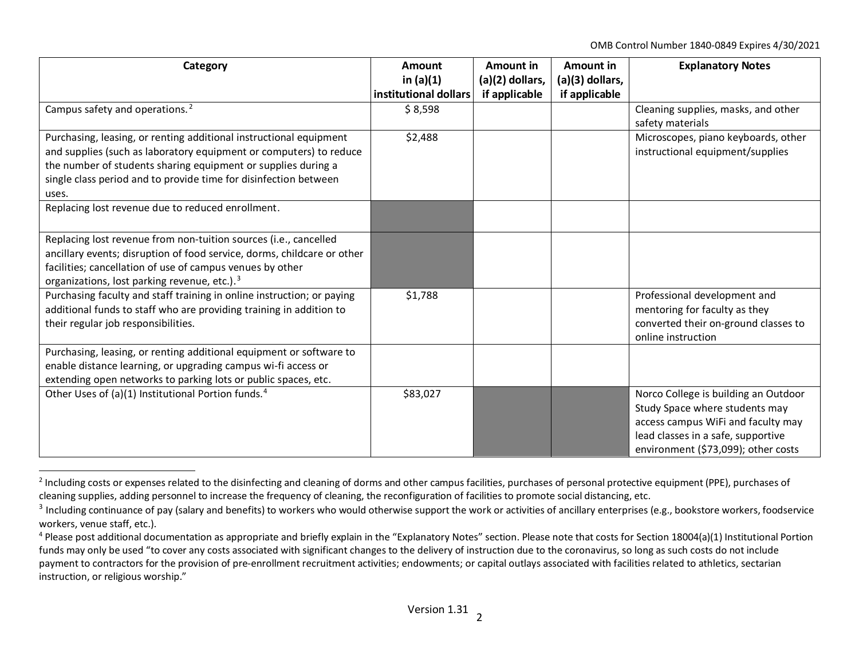<span id="page-1-2"></span><span id="page-1-1"></span><span id="page-1-0"></span>OMB Control Number 1840-0849 Expires 4/30/2021

| Category                                                                                                                                                                                                                                                                               | <b>Amount</b><br>in $(a)(1)$<br>institutional dollars | Amount in<br>$(a)(2)$ dollars,<br>if applicable | Amount in<br>$(a)(3)$ dollars,<br>if applicable | <b>Explanatory Notes</b>                                                                                                                                                                  |
|----------------------------------------------------------------------------------------------------------------------------------------------------------------------------------------------------------------------------------------------------------------------------------------|-------------------------------------------------------|-------------------------------------------------|-------------------------------------------------|-------------------------------------------------------------------------------------------------------------------------------------------------------------------------------------------|
| Campus safety and operations. <sup>2</sup>                                                                                                                                                                                                                                             | \$8,598                                               |                                                 |                                                 | Cleaning supplies, masks, and other<br>safety materials                                                                                                                                   |
| Purchasing, leasing, or renting additional instructional equipment<br>and supplies (such as laboratory equipment or computers) to reduce<br>the number of students sharing equipment or supplies during a<br>single class period and to provide time for disinfection between<br>uses. | \$2,488                                               |                                                 |                                                 | Microscopes, piano keyboards, other<br>instructional equipment/supplies                                                                                                                   |
| Replacing lost revenue due to reduced enrollment.                                                                                                                                                                                                                                      |                                                       |                                                 |                                                 |                                                                                                                                                                                           |
| Replacing lost revenue from non-tuition sources (i.e., cancelled<br>ancillary events; disruption of food service, dorms, childcare or other<br>facilities; cancellation of use of campus venues by other<br>organizations, lost parking revenue, etc.). <sup>3</sup>                   |                                                       |                                                 |                                                 |                                                                                                                                                                                           |
| Purchasing faculty and staff training in online instruction; or paying<br>additional funds to staff who are providing training in addition to<br>their regular job responsibilities.                                                                                                   | \$1,788                                               |                                                 |                                                 | Professional development and<br>mentoring for faculty as they<br>converted their on-ground classes to<br>online instruction                                                               |
| Purchasing, leasing, or renting additional equipment or software to<br>enable distance learning, or upgrading campus wi-fi access or<br>extending open networks to parking lots or public spaces, etc.                                                                                 |                                                       |                                                 |                                                 |                                                                                                                                                                                           |
| Other Uses of (a)(1) Institutional Portion funds. <sup>4</sup>                                                                                                                                                                                                                         | \$83,027                                              |                                                 |                                                 | Norco College is building an Outdoor<br>Study Space where students may<br>access campus WiFi and faculty may<br>lead classes in a safe, supportive<br>environment (\$73,099); other costs |

<sup>&</sup>lt;sup>2</sup> Including costs or expenses related to the disinfecting and cleaning of dorms and other campus facilities, purchases of personal protective equipment (PPE), purchases of cleaning supplies, adding personnel to increase the frequency of cleaning, the reconfiguration of facilities to promote social distancing, etc.

<sup>&</sup>lt;sup>3</sup> Including continuance of pay (salary and benefits) to workers who would otherwise support the work or activities of ancillary enterprises (e.g., bookstore workers, foodservice workers, venue staff, etc.).

<sup>&</sup>lt;sup>4</sup> Please post additional documentation as appropriate and briefly explain in the "Explanatory Notes" section. Please note that costs for Section 18004(a)(1) Institutional Portion funds may only be used "to cover any costs associated with significant changes to the delivery of instruction due to the coronavirus, so long as such costs do not include payment to contractors for the provision of pre-enrollment recruitment activities; endowments; or capital outlays associated with facilities related to athletics, sectarian instruction, or religious worship."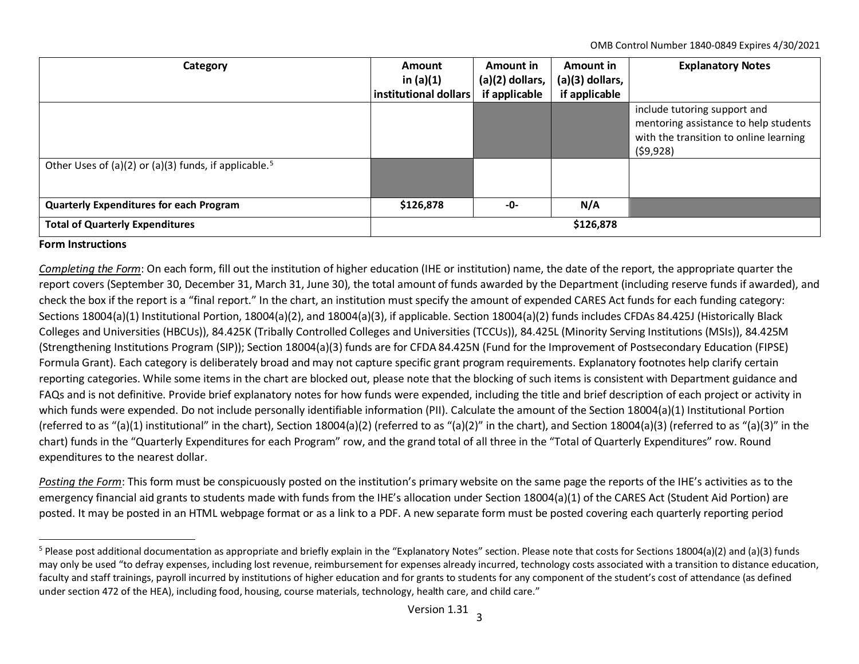<span id="page-2-0"></span>OMB Control Number 1840-0849 Expires 4/30/2021

| Category                                                          | Amount<br>in $(a)(1)$<br>institutional dollars | Amount in<br>$(a)(2)$ dollars,<br>if applicable | Amount in<br>$(a)(3)$ dollars,<br>if applicable | <b>Explanatory Notes</b>                                                                                                     |
|-------------------------------------------------------------------|------------------------------------------------|-------------------------------------------------|-------------------------------------------------|------------------------------------------------------------------------------------------------------------------------------|
|                                                                   |                                                |                                                 |                                                 | include tutoring support and<br>mentoring assistance to help students<br>with the transition to online learning<br>(59, 928) |
| Other Uses of (a)(2) or (a)(3) funds, if applicable. <sup>5</sup> |                                                |                                                 |                                                 |                                                                                                                              |
| <b>Quarterly Expenditures for each Program</b>                    | \$126,878                                      | -0-                                             | N/A                                             |                                                                                                                              |
| <b>Total of Quarterly Expenditures</b>                            | \$126,878                                      |                                                 |                                                 |                                                                                                                              |

## **Form Instructions**

*Completing the Form*: On each form, fill out the institution of higher education (IHE or institution) name, the date of the report, the appropriate quarter the report covers (September 30, December 31, March 31, June 30), the total amount of funds awarded by the Department (including reserve funds if awarded), and check the box if the report is a "final report." In the chart, an institution must specify the amount of expended CARES Act funds for each funding category: Sections 18004(a)(1) Institutional Portion, 18004(a)(2), and 18004(a)(3), if applicable. Section 18004(a)(2) funds includes CFDAs 84.425J (Historically Black Colleges and Universities (HBCUs)), 84.425K (Tribally Controlled Colleges and Universities (TCCUs)), 84.425L (Minority Serving Institutions (MSIs)), 84.425M (Strengthening Institutions Program (SIP)); Section 18004(a)(3) funds are for CFDA 84.425N (Fund for the Improvement of Postsecondary Education (FIPSE) Formula Grant). Each category is deliberately broad and may not capture specific grant program requirements. Explanatory footnotes help clarify certain reporting categories. While some items in the chart are blocked out, please note that the blocking of such items is consistent with Department guidance and FAQs and is not definitive. Provide brief explanatory notes for how funds were expended, including the title and brief description of each project or activity in which funds were expended. Do not include personally identifiable information (PII). Calculate the amount of the Section 18004(a)(1) Institutional Portion (referred to as "(a)(1) institutional" in the chart), Section 18004(a)(2) (referred to as "(a)(2)" in the chart), and Section 18004(a)(3) (referred to as "(a)(3)" in the chart) funds in the "Quarterly Expenditures for each Program" row, and the grand total of all three in the "Total of Quarterly Expenditures" row. Round expenditures to the nearest dollar.

*Posting the Form*: This form must be conspicuously posted on the institution's primary website on the same page the reports of the IHE's activities as to the emergency financial aid grants to students made with funds from the IHE's allocation under Section 18004(a)(1) of the CARES Act (Student Aid Portion) are posted. It may be posted in an HTML webpage format or as a link to a PDF. A new separate form must be posted covering each quarterly reporting period

<sup>&</sup>lt;sup>5</sup> Please post additional documentation as appropriate and briefly explain in the "Explanatory Notes" section. Please note that costs for Sections 18004(a)(2) and (a)(3) funds may only be used "to defray expenses, including lost revenue, reimbursement for expenses already incurred, technology costs associated with a transition to distance education, faculty and staff trainings, payroll incurred by institutions of higher education and for grants to students for any component of the student's cost of attendance (as defined under section 472 of the HEA), including food, housing, course materials, technology, health care, and child care."